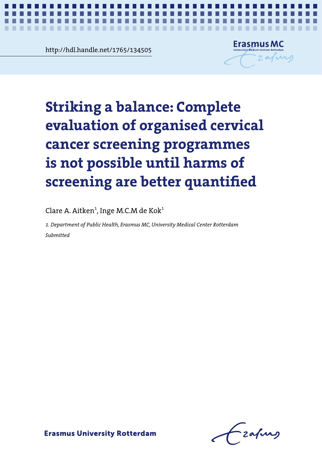**Chapter 6.1** http://hdl.handle.net/1765/134505

**The Contract of the Contract of the Contract of the Contract of the Contract of the Contract of the Contract of the Contract of the Contract of the Contract of the Contract of The Contract of The Contract of The Contract** 



*Quantifying harms of screening* **1**

 $\mathbf{r}$ 

# **cervical cancer screening programmes is not possible Striking a balance: Complete until harms of screening are better quantified** screening are better quantified **evaluation of organised cervical cancer screening programmes is not possible until harms of**

Clare A. Aitken $^1$ , Inge M.C.M de Kok $^1$ 

*1. Department of Public Health, Erasmus MC, University Medical Center Rotterdam Submitted*

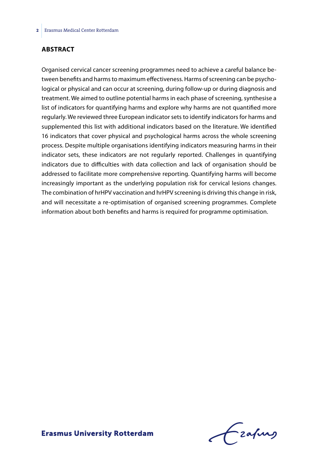### **ABSTRACT**

Organised cervical cancer screening programmes need to achieve a careful balance between benefits and harms to maximum effectiveness. Harms of screening can be psychological or physical and can occur at screening, during follow-up or during diagnosis and treatment. We aimed to outline potential harms in each phase of screening, synthesise a list of indicators for quantifying harms and explore why harms are not quantified more regularly. We reviewed three European indicator sets to identify indicators for harms and supplemented this list with additional indicators based on the literature. We identified 16 indicators that cover physical and psychological harms across the whole screening process. Despite multiple organisations identifying indicators measuring harms in their indicator sets, these indicators are not regularly reported. Challenges in quantifying indicators due to difficulties with data collection and lack of organisation should be addressed to facilitate more comprehensive reporting. Quantifying harms will become increasingly important as the underlying population risk for cervical lesions changes. The combination of hrHPV vaccination and hrHPV screening is driving this change in risk, and will necessitate a re-optimisation of organised screening programmes. Complete information about both benefits and harms is required for programme optimisation.

frafing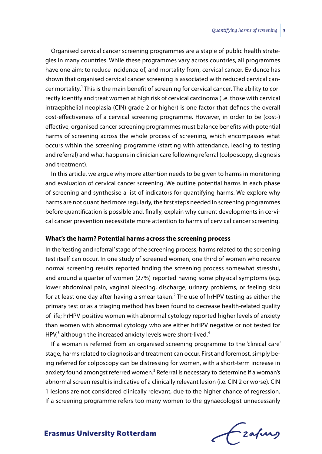Organised cervical cancer screening programmes are a staple of public health strategies in many countries. While these programmes vary across countries, all programmes have one aim: to reduce incidence of, and mortality from, cervical cancer. Evidence has shown that organised cervical cancer screening is associated with reduced cervical cancer mortality.<sup>1</sup> This is the main benefit of screening for cervical cancer. The ability to correctly identify and treat women at high risk of cervical carcinoma (i.e. those with cervical intraepithelial neoplasia (CIN) grade 2 or higher) is one factor that defines the overall cost-effectiveness of a cervical screening programme. However, in order to be (cost-) effective, organised cancer screening programmes must balance benefits with potential harms of screening across the whole process of screening, which encompasses what occurs within the screening programme (starting with attendance, leading to testing and referral) and what happens in clinician care following referral (colposcopy, diagnosis and treatment).

In this article, we argue why more attention needs to be given to harms in monitoring and evaluation of cervical cancer screening. We outline potential harms in each phase of screening and synthesise a list of indicators for quantifying harms. We explore why harms are not quantified more regularly, the first steps needed in screening programmes before quantification is possible and, finally, explain why current developments in cervical cancer prevention necessitate more attention to harms of cervical cancer screening.

#### **What's the harm? Potential harms across the screening process**

In the 'testing and referral' stage of the screening process, harms related to the screening test itself can occur. In one study of screened women, one third of women who receive normal screening results reported finding the screening process somewhat stressful, and around a quarter of women (27%) reported having some physical symptoms (e.g. lower abdominal pain, vaginal bleeding, discharge, urinary problems, or feeling sick) for at least one day after having a smear taken.<sup>2</sup> The use of hrHPV testing as either the primary test or as a triaging method has been found to decrease health-related quality of life; hrHPV-positive women with abnormal cytology reported higher levels of anxiety than women with abnormal cytology who are either hrHPV negative or not tested for HPV,<sup>3</sup> although the increased anxiety levels were short-lived.<sup>4</sup>

If a woman is referred from an organised screening programme to the 'clinical care' stage, harms related to diagnosis and treatment can occur. First and foremost, simply being referred for colposcopy can be distressing for women, with a short-term increase in anxiety found amongst referred women.<sup>5</sup> Referral is necessary to determine if a woman's abnormal screen result is indicative of a clinically relevant lesion (i.e. CIN 2 or worse). CIN 1 lesions are not considered clinically relevant, due to the higher chance of regression. If a screening programme refers too many women to the gynaecologist unnecessarily

frafing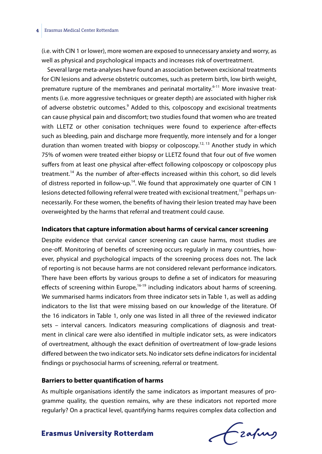(i.e. with CIN 1 or lower), more women are exposed to unnecessary anxiety and worry, as well as physical and psychological impacts and increases risk of overtreatment.

Several large meta-analyses have found an association between excisional treatments for CIN lesions and adverse obstetric outcomes, such as preterm birth, low birth weight, premature rupture of the membranes and perinatal mortality.<sup>6-11</sup> More invasive treatments (i.e. more aggressive techniques or greater depth) are associated with higher risk of adverse obstetric outcomes.<sup>9</sup> Added to this, colposcopy and excisional treatments can cause physical pain and discomfort; two studies found that women who are treated with LLETZ or other conisation techniques were found to experience after-effects such as bleeding, pain and discharge more frequently, more intensely and for a longer duration than women treated with biopsy or colposcopy.<sup>12, 13</sup> Another study in which 75% of women were treated either biopsy or LLETZ found that four out of five women suffers from at least one physical after-effect following colposcopy or colposcopy plus treatment.<sup>14</sup> As the number of after-effects increased within this cohort, so did levels of distress reported in follow-up.<sup>14</sup>. We found that approximately one quarter of CIN 1 lesions detected following referral were treated with excisional treatment,<sup>15</sup> perhaps unnecessarily. For these women, the benefits of having their lesion treated may have been overweighted by the harms that referral and treatment could cause.

#### **Indicators that capture information about harms of cervical cancer screening**

Despite evidence that cervical cancer screening can cause harms, most studies are one-off. Monitoring of benefits of screening occurs regularly in many countries, however, physical and psychological impacts of the screening process does not. The lack of reporting is not because harms are not considered relevant performance indicators. There have been efforts by various groups to define a set of indicators for measuring effects of screening within Europe, $16-19$  including indicators about harms of screening. We summarised harms indicators from three indicator sets in Table 1, as well as adding indicators to the list that were missing based on our knowledge of the literature. Of the 16 indicators in Table 1, only one was listed in all three of the reviewed indicator sets – interval cancers. Indicators measuring complications of diagnosis and treatment in clinical care were also identified in multiple indicator sets, as were indicators of overtreatment, although the exact definition of overtreatment of low-grade lesions differed between the two indicator sets. No indicator sets define indicators for incidental findings or psychosocial harms of screening, referral or treatment.

#### **Barriers to better quantification of harms**

As multiple organisations identify the same indicators as important measures of programme quality, the question remains, why are these indicators not reported more regularly? On a practical level, quantifying harms requires complex data collection and

frafing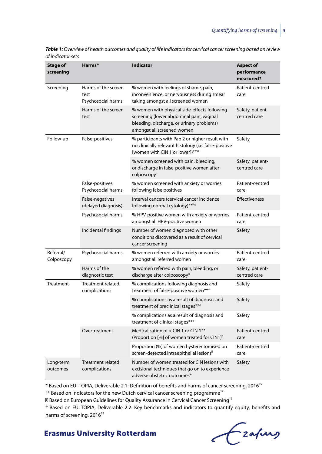| <b>Stage of</b><br>screening | Harms*                                            | <b>Indicator</b>                                                                                                                                                    | <b>Aspect of</b><br>performance<br>measured? |
|------------------------------|---------------------------------------------------|---------------------------------------------------------------------------------------------------------------------------------------------------------------------|----------------------------------------------|
| Screening                    | Harms of the screen<br>test<br>Psychosocial harms | % women with feelings of shame, pain,<br>inconvenience, or nervousness during smear<br>taking amongst all screened women                                            | Patient-centred<br>care                      |
|                              | Harms of the screen<br>test                       | % women with physical side-effects following<br>screening (lower abdominal pain, vaginal<br>bleeding, discharge, or urinary problems)<br>amongst all screened women | Safety, patient-<br>centred care             |
| Follow-up                    | False-positives                                   | % participants with Pap 2 or higher result with<br>no clinically relevant histology (i.e. false-positive<br>[women with CIN 1 or lower])***                         | Safety                                       |
|                              |                                                   | % women screened with pain, bleeding,<br>or discharge in false-positive women after<br>colposcopy                                                                   | Safety, patient-<br>centred care             |
|                              | False-positives<br>Psychosocial harms             | % women screened with anxiety or worries<br>following false positives                                                                                               | Patient-centred<br>care                      |
|                              | False-negatives<br>(delayed diagnosis)            | Interval cancers (cervical cancer incidence<br>following normal cytology)** *                                                                                       | <b>Effectiveness</b>                         |
|                              | Psychosocial harms                                | % HPV-positive women with anxiety or worries<br>amongst all HPV-positive women                                                                                      | Patient-centred<br>care                      |
|                              | Incidental findings                               | Number of women diagnosed with other<br>conditions discovered as a result of cervical<br>cancer screening                                                           | Safety                                       |
| Referral/<br>Colposcopy      | Psychosocial harms                                | % women referred with anxiety or worries<br>amongst all referred women                                                                                              | Patient-centred<br>care                      |
|                              | Harms of the<br>diagnostic test                   | % women referred with pain, bleeding, or<br>discharge after colposcopy®                                                                                             | Safety, patient-<br>centred care             |
| Treatment                    | <b>Treatment related</b><br>complications         | % complications following diagnosis and<br>treatment of false-positive women***                                                                                     | Safety                                       |
|                              |                                                   | % complications as a result of diagnosis and<br>treatment of preclinical stages***                                                                                  | Safety                                       |
|                              |                                                   | % complications as a result of diagnosis and<br>treatment of clinical stages***                                                                                     | Safety                                       |
|                              | Overtreatment                                     | Medicalisation of < CIN 1 or CIN 1 <sup>**</sup><br>(Proportion [%] of women treated for CIN1)                                                                      | Patient-centred<br>care                      |
|                              |                                                   | Proportion (%) of women hysterectomised on<br>screen-detected intraepithelial lesions                                                                               | Patient-centred<br>care                      |
| Long-term<br>outcomes        | Treatment related<br>complications                | Number of women treated for CIN lesions with<br>excisional techniques that go on to experience<br>adverse obstetric outcomes <sup>®</sup>                           | Safety                                       |

*Table 1: Overview of health outcomes and quality of life indicators for cervical cancer screening based on review of indicator sets*

\* Based on EU–TOPIA, Deliverable 2.1: Definition of benefits and harms of cancer screening, 201619

\*\* Based on Indicators for the new Dutch cervical cancer screening programme<sup>17</sup>

Based on European Guidelines for Quality Assurance in Cervical Cancer Screening<sup>16</sup>

® Based on EU–TOPIA, Deliverable 2.2: Key benchmarks and indicators to quantify equity, benefits and harms of screening, 2016<sup>18</sup>

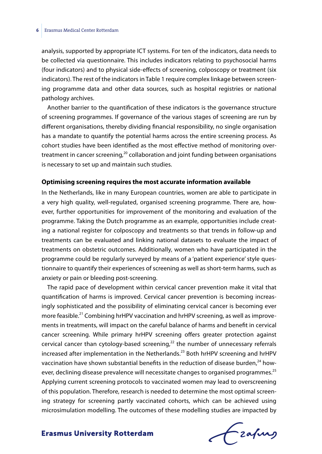analysis, supported by appropriate ICT systems. For ten of the indicators, data needs to be collected via questionnaire. This includes indicators relating to psychosocial harms (four indicators) and to physical side-effects of screening, colposcopy or treatment (six indicators). The rest of the indicators in Table 1 require complex linkage between screening programme data and other data sources, such as hospital registries or national pathology archives.

Another barrier to the quantification of these indicators is the governance structure of screening programmes. If governance of the various stages of screening are run by different organisations, thereby dividing financial responsibility, no single organisation has a mandate to quantify the potential harms across the entire screening process. As cohort studies have been identified as the most effective method of monitoring overtreatment in cancer screening, $20$  collaboration and joint funding between organisations is necessary to set up and maintain such studies.

#### **Optimising screening requires the most accurate information available**

In the Netherlands, like in many European countries, women are able to participate in a very high quality, well-regulated, organised screening programme. There are, however, further opportunities for improvement of the monitoring and evaluation of the programme. Taking the Dutch programme as an example, opportunities include creating a national register for colposcopy and treatments so that trends in follow-up and treatments can be evaluated and linking national datasets to evaluate the impact of treatments on obstetric outcomes. Additionally, women who have participated in the programme could be regularly surveyed by means of a 'patient experience' style questionnaire to quantify their experiences of screening as well as short-term harms, such as anxiety or pain or bleeding post-screening.

The rapid pace of development within cervical cancer prevention make it vital that quantification of harms is improved. Cervical cancer prevention is becoming increasingly sophisticated and the possibility of eliminating cervical cancer is becoming ever more feasible.<sup>21</sup> Combining hrHPV vaccination and hrHPV screening, as well as improvements in treatments, will impact on the careful balance of harms and benefit in cervical cancer screening. While primary hrHPV screening offers greater protection against cervical cancer than cytology-based screening, $^{22}$  the number of unnecessary referrals increased after implementation in the Netherlands.<sup>23</sup> Both hrHPV screening and hrHPV vaccination have shown substantial benefits in the reduction of disease burden, $^{24}$  however, declining disease prevalence will necessitate changes to organised programmes.<sup>25</sup> Applying current screening protocols to vaccinated women may lead to overscreening of this population. Therefore, research is needed to determine the most optimal screening strategy for screening partly vaccinated cohorts, which can be achieved using microsimulation modelling. The outcomes of these modelling studies are impacted by

Frahing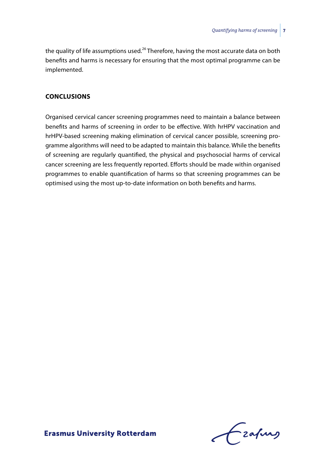the quality of life assumptions used.<sup>26</sup> Therefore, having the most accurate data on both benefits and harms is necessary for ensuring that the most optimal programme can be implemented.

## **CONCLUSIONS**

Organised cervical cancer screening programmes need to maintain a balance between benefits and harms of screening in order to be effective. With hrHPV vaccination and hrHPV-based screening making elimination of cervical cancer possible, screening programme algorithms will need to be adapted to maintain this balance. While the benefits of screening are regularly quantified, the physical and psychosocial harms of cervical cancer screening are less frequently reported. Efforts should be made within organised programmes to enable quantification of harms so that screening programmes can be optimised using the most up-to-date information on both benefits and harms.

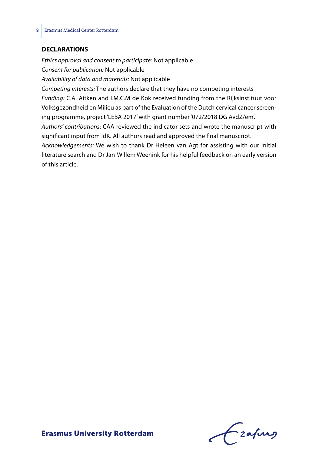#### **DECLARATIONS**

*Ethics approval and consent to participate:* Not applicable *Consent for publication:* Not applicable *Availability of data and materials:* Not applicable *Competing interests:* The authors declare that they have no competing interests *Funding:* C.A. Aitken and I.M.C.M de Kok received funding from the Rijksinstituut voor Volksgezondheid en Milieu as part of the Evaluation of the Dutch cervical cancer screening programme, project 'LEBA 2017' with grant number '072/2018 DG AvdZ/em'. *Authors' contributions*: CAA reviewed the indicator sets and wrote the manuscript with significant input from IdK. All authors read and approved the final manuscript. *Acknowledgements:* We wish to thank Dr Heleen van Agt for assisting with our initial literature search and Dr Jan-Willem Weenink for his helpful feedback on an early version of this article.

Frahing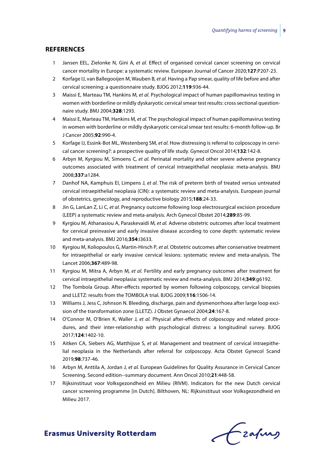#### **REFERENCES**

- 1 Jansen EEL, Zielonke N, Gini A*, et al.* Effect of organised cervical cancer screening on cervical cancer mortality in Europe: a systematic review. European Journal of Cancer 2020;**127**:P207-23.
- 2 Korfage IJ, van Ballegooijen M, Wauben B*, et al.* Having a Pap smear, quality of life before and after cervical screening: a questionnaire study. BJOG 2012;**119**:936-44.
- 3 Maissi E, Marteau TM, Hankins M*, et al.* Psychological impact of human papillomavirus testing in women with borderline or mildly dyskaryotic cervical smear test results: cross sectional questionnaire study. BMJ 2004;**328**:1293.
- 4 Maissi E, Marteau TM, Hankins M*, et al.* The psychological impact of human papillomavirus testing in women with borderline or mildly dyskaryotic cervical smear test results: 6-month follow-up. Br J Cancer 2005;**92**:990-4.
- 5 Korfage IJ, Essink-Bot ML, Westenberg SM*, et al.* How distressing is referral to colposcopy in cervical cancer screening?: a prospective quality of life study. Gynecol Oncol 2014;**132**:142-8.
- 6 Arbyn M, Kyrgiou M, Simoens C*, et al.* Perinatal mortality and other severe adverse pregnancy outcomes associated with treatment of cervical intraepithelial neoplasia: meta-analysis. BMJ 2008;**337**:a1284.
- 7 Danhof NA, Kamphuis EI, Limpens J*, et al.* The risk of preterm birth of treated versus untreated cervical intraepithelial neoplasia (CIN): a systematic review and meta-analysis. European journal of obstetrics, gynecology, and reproductive biology 2015;**188**:24-33.
- 8 Jin G, LanLan Z, Li C*, et al.* Pregnancy outcome following loop electrosurgical excision procedure (LEEP) a systematic review and meta-analysis. Arch Gynecol Obstet 2014;**289**:85-99.
- 9 Kyrgiou M, Athanasiou A, Paraskevaidi M*, et al.* Adverse obstetric outcomes after local treatment for cervical preinvasive and early invasive disease according to cone depth: systematic review and meta-analysis. BMJ 2016;**354**:i3633.
- 10 Kyrgiou M, Koliopoulos G, Martin-Hirsch P*, et al.* Obstetric outcomes after conservative treatment for intraepithelial or early invasive cervical lesions: systematic review and meta-analysis. The Lancet 2006;**367**:489-98.
- 11 Kyrgiou M, Mitra A, Arbyn M*, et al.* Fertility and early pregnancy outcomes after treatment for cervical intraepithelial neoplasia: systematic review and meta-analysis. BMJ 2014;**349**:g6192.
- 12 The Tombola Group. After-effects reported by women following colposcopy, cervical biopsies and LLETZ: results from the TOMBOLA trial. BJOG 2009;**116**:1506-14.
- 13 Williams J, Jess C, Johnson N. Bleeding, discharge, pain and dysmenorrhoea after large loop excision of the transformation zone (LLETZ). J Obstet Gynaecol 2004;**24**:167-8.
- 14 O'Connor M, O'Brien K, Waller J*, et al.* Physical after-effects of colposcopy and related procedures, and their inter-relationship with psychological distress: a longitudinal survey. BJOG 2017;**124**:1402-10.
- 15 Aitken CA, Siebers AG, Matthijsse S*, et al.* Management and treatment of cervical intraepithelial neoplasia in the Netherlands after referral for colposcopy. Acta Obstet Gynecol Scand 2019;**98**:737-46.
- 16 Arbyn M, Anttila A, Jordan J*, et al.* European Guidelines for Quality Assurance in Cervical Cancer Screening. Second edition--summary document. Ann Oncol 2010;**21**:448-58.
- 17 Rijksinstituut voor Volksgezondheid en Milieu (RIVM). Indicators for the new Dutch cervical cancer screening programme [in Dutch]. Bilthoven, NL: Rijksinstituut voor Volksgezondheid en Milieu 2017.

Frahing